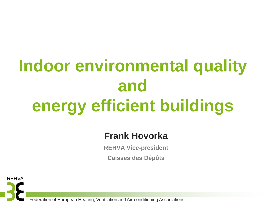## **Indoor environmental quality and energy efficient buildings**

## **Frank Hovorka**

**REHVA Vice-president**

**Caisses des Dépôts**

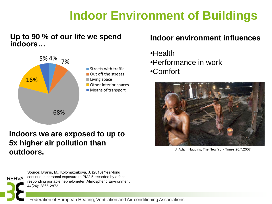## **Indoor Environment of Buildings**

#### **Up to 90 % of our life we spend indoors…**



### **Indoors we are exposed to up to 5x higher air pollution than OUTDOOTS.** The New York Times 26.7.2007

#### **Indoor environment influences**

- •Health
- •Performance in work
- •Comfort





Source: Braniš, M., Kolomazníková, J. (2010) Year-long continuous personal exposure to PM2.5 recorded by a fast responding portable nephelometer. Atmospheric Environment 44(24): 2865-2872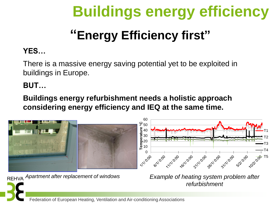# **Buildings energy efficiency**

## **"Energy Efficiency first"**

## **YES…**

There is a massive energy saving potential yet to be exploited in buildings in Europe.

## **BUT…**

**Buildings energy refurbishment needs a holistic approach considering energy efficiency and IEQ at the same time.**

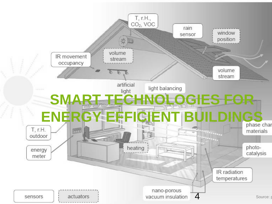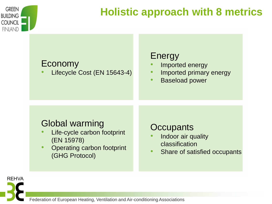

## **Holistic approach with 8 metrics**

## Economy

• Lifecycle Cost (EN 15643-4)

## Energy

- Imported energy
- Imported primary energy
- Baseload power

## Global warming

- Life-cycle carbon footprint (EN 15978)
- Operating carbon footprint (GHG Protocol)

## **Occupants**

- Indoor air quality classification
- Share of satisfied occupants

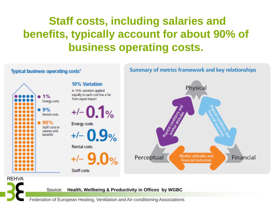## **Staff costs, including salaries and benefits, typically account for about 90% of business operating costs.**



#### Source: **Health, Wellbeing & Productivity in Offices by WGBC**